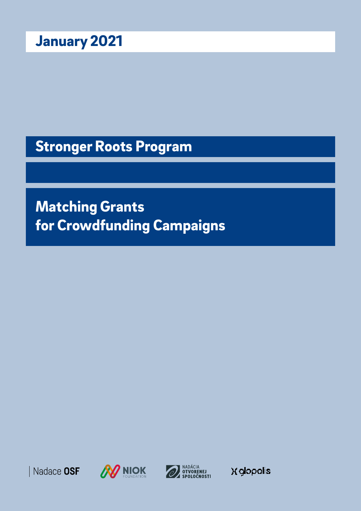Stronger Roots Program

Matching Grants for Crowdfunding Campaigns







**X** glopolis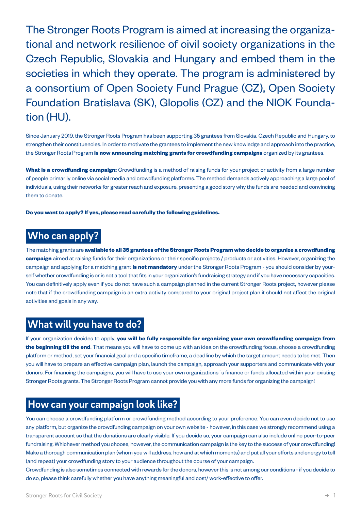The Stronger Roots Program is aimed at increasing the organizational and network resilience of civil society organizations in the Czech Republic, Slovakia and Hungary and embed them in the societies in which they operate. The program is administered by a consortium of Open Society Fund Prague (CZ), Open Society Foundation Bratislava (SK), Glopolis (CZ) and the NIOK Foundation (HU).

Since January 2019, the Stronger Roots Program has been supporting 35 grantees from Slovakia, Czech Republic and Hungary, to strengthen their constituencies. In order to motivate the grantees to implement the new knowledge and approach into the practice, the Stronger Roots Program **is now announcing matching grants for crowdfunding campaigns** organized by its grantees.

**What is a crowdfunding campaign:** Crowdfunding is a method of raising funds for your project or activity from a large number of people primarily online via social media and crowdfunding platforms. The method demands actively approaching a large pool of individuals, using their networks for greater reach and exposure, presenting a good story why the funds are needed and convincing them to donate.

**Do you want to apply? If yes, please read carefully the following guidelines.**

# **Who can apply?**

The matching grants are **available to all 35 grantees of the Stronger Roots Program who decide to organize a crowdfunding campaign** aimed at raising funds for their organizations or their specific projects / products or activities. However, organizing the campaign and applying for a matching grant **is not mandatory** under the Stronger Roots Program - you should consider by yourself whether crowdfunding is or is not a tool that fits in your organization's fundraising strategy and if you have necessary capacities. You can definitively apply even if you do not have such a campaign planned in the current Stronger Roots project, however please note that if the crowdfunding campaign is an extra activity compared to your original project plan it should not affect the original activities and goals in any way.

### **What will you have to do?**

If your organization decides to apply, **you will be fully responsible for organizing your own crowdfunding campaign from the beginning till the end**. That means you will have to come up with an idea on the crowdfunding focus, choose a crowdfunding platform or method, set your financial goal and a specific timeframe, a deadline by which the target amount needs to be met. Then you will have to prepare an effective campaign plan, launch the campaign, approach your supporters and communicate with your donors. For financing the campaigns, you will have to use your own organizations´s finance or funds allocated within your existing Stronger Roots grants. The Stronger Roots Program cannot provide you with any more funds for organizing the campaign!

# **How can your campaign look like?**

You can choose a crowdfunding platform or crowdfunding method according to your preference. You can even decide not to use any platform, but organize the crowdfunding campaign on your own website - however, in this case we strongly recommend using a transparent account so that the donations are clearly visible. If you decide so, your campaign can also include online peer-to-peer fundraising. Whichever method you choose, however, the communication campaign is the key to the success of your crowdfunding! Make a thorough communication plan (whom you will address, how and at which moments) and put all your efforts and energy to tell (and repeat) your crowdfunding story to your audience throughout the course of your campaign.

Crowdfunding is also sometimes connected with rewards for the donors, however this is not among our conditions - if you decide to do so, please think carefully whether you have anything meaningful and cost/ work-effective to offer.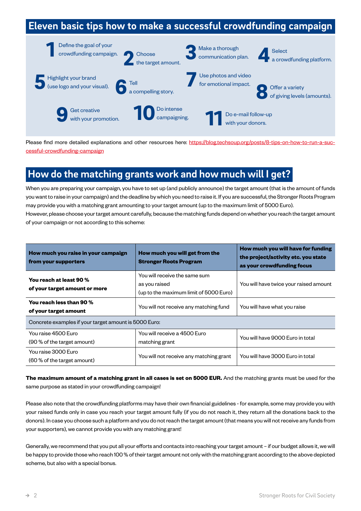# **Eleven basic tips how to make a successful crowdfunding campaign:**



Please find more detailed explanations and other resources here: [https://blog.techsoup.org/posts/8-tips-on-how-to-run-a-suc](https://blog.techsoup.org/posts/8-tips-on-how-to-run-a-successful-crowdfunding-campaign)[cessful-crowdfunding-campaign](https://blog.techsoup.org/posts/8-tips-on-how-to-run-a-successful-crowdfunding-campaign)

# **How do the matching grants work and how much will I get?**

When you are preparing your campaign, you have to set up (and publicly announce) the target amount (that is the amount of funds you want to raise in your campaign) and the deadline by which you need to raise it. If you are successful, the Stronger Roots Program may provide you with a matching grant amounting to your target amount (up to the maximum limit of 5000 Euro). However, please choose your target amount carefully, because the matching funds depend on whether you reach the target amount of your campaign or not according to this scheme:

| How much you raise in your campaign<br>from your supporters | How much you will get from the<br><b>Stronger Roots Program</b>                          | How much you will have for funding<br>the project/activity etc. you state<br>as your crowdfunding focus |
|-------------------------------------------------------------|------------------------------------------------------------------------------------------|---------------------------------------------------------------------------------------------------------|
| You reach at least 90 %<br>of your target amount or more    | You will receive the same sum<br>as you raised<br>(up to the maximum limit of 5000 Euro) | You will have twice your raised amount                                                                  |
| You reach less than 90 %<br>of your target amount           | You will not receive any matching fund                                                   | You will have what you raise                                                                            |
| Concrete examples if your target amount is 5000 Euro:       |                                                                                          |                                                                                                         |
| You raise 4500 Euro<br>(90 % of the target amount)          | You will receive a 4500 Euro<br>matching grant                                           | You will have 9000 Euro in total                                                                        |
| You raise 3000 Euro<br>(60 % of the target amount)          | You will not receive any matching grant                                                  | You will have 3000 Euro in total                                                                        |

**The maximum amount of a matching grant in all cases is set on 5000 EUR.** And the matching grants must be used for the same purpose as stated in your crowdfunding campaign!

Please also note that the crowdfunding platforms may have their own financial guidelines - for example, some may provide you with your raised funds only in case you reach your target amount fully (if you do not reach it, they return all the donations back to the donors). In case you choose such a platform and you do not reach the target amount (that means you will not receive any funds from your supporters), we cannot provide you with any matching grant!

Generally, we recommend that you put all your efforts and contacts into reaching your target amount – if our budget allows it, we will be happy to provide those who reach 100 % of their target amount not only with the matching grant according to the above depicted scheme, but also with a special bonus.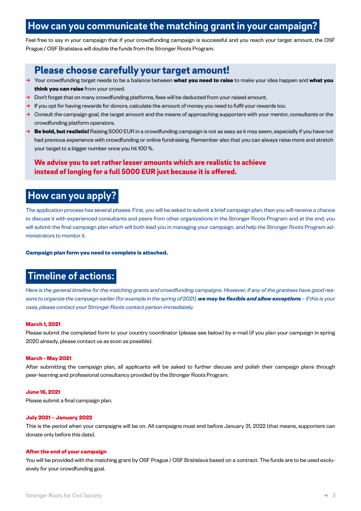# **How can you communicate the matching grant in your campaign?**

Feel free to say in your campaign that if your crowdfunding campaign is successful and you reach your target amount, the OSF Prague / OSF Bratislava will double the funds from the Stronger Roots Program.

# Please choose carefully your target amount!

- **→** Your crowdfunding target needs to be a balance between **what you need to raise** to make your idea happen and **what you think you can raise** from your crowd.
- **→** Don't forget that on many crowdfunding platforms, fees will be deducted from your raised amount.
- **→** If you opt for having rewards for donors, calculate the amount of money you need to fulfil your rewards too.
- **→** Consult the campaign goal, the target amount and the means of approaching supporters with your mentor, consultants or the crowdfunding platform operators.
- **→ Be bold, but realistic!** Raising 5000 EUR in a crowdfunding campaign is not as easy as it may seem, especially if you have not had previous experience with crowdfunding or online fundraising. Remember also that you can always raise more and stretch your target to a bigger number once you hit 100 %.

### We advise you to set rather lesser amounts which are realistic to achieve instead of longing for a full 5000 EUR just because it is offered.

## **How can you apply?**

The application process has several phases. First, you will be asked to submit a brief campaign plan, then you will receive a chance to discuss it with experienced consultants and peers from other organizations in the Stronger Roots Program and at the end, you will submit the final campaign plan which will both lead you in managing your campaign, and help the Stronger Roots Program administrators to monitor it.

### **Campaign plan form you need to complete is attached.**

### **Timeline of actions:**

*Here is the general timeline for the matching grants and crowdfunding campaigns. However, if any of the grantees have good reasons to organize the campaign earlier (for example in the spring of 2021), we may be flexible and allow exceptions – if this is your case, please contact your Stronger Roots contact person immediately.*

### **March 1, 2021**

Please submit the completed form to your country coordinator (please see below) by e-mail (if you plan your campaign in spring 2020 already, please contact us as soon as possible).

### **March - May 2021**

After submitting the campaign plan, all applicants will be asked to further discuss and polish their campaign plans through peer-learning and professional consultancy provided by the Stronger Roots Program.

### **June 16, 2021**

Please submit a final campaign plan.

### **July 2021 – January 2022**

This is the period when your campaigns will be on. All campaigns must end before January 31, 2022 (that means, supporters can donate only before this date).

### **After the end of your campaign**

You will be provided with the matching grant by OSF Prague / OSF Bratislava based on a contract. The funds are to be used exclusively for your crowdfunding goal.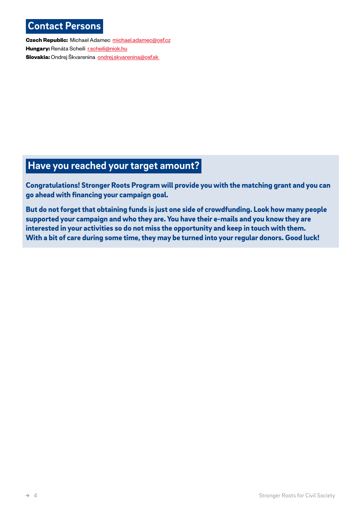# **Contact Persons**

**Czech Republic:** Michael Adamec [michael.adamec@osf.cz](mailto:michael.adamec@osf.cz) **Hungary: Renáta Scheili [r.scheili@niok.hu](mailto:r.scheili@niok.hu) Slovakia:** Ondrej Škvarenina **[ondrej.skvarenina@osf.sk](mailto:ondrej.skvarenina@osf.sk)** 

# **Have you reached your target amount?**

Congratulations! Stronger Roots Program will provide you with the matching grant and you can go ahead with financing your campaign goal.

But do not forget that obtaining funds is just one side of crowdfunding. Look how many people supported your campaign and who they are. You have their e-mails and you know they are interested in your activities so do not miss the opportunity and keep in touch with them. With a bit of care during some time, they may be turned into your regular donors. Good luck!